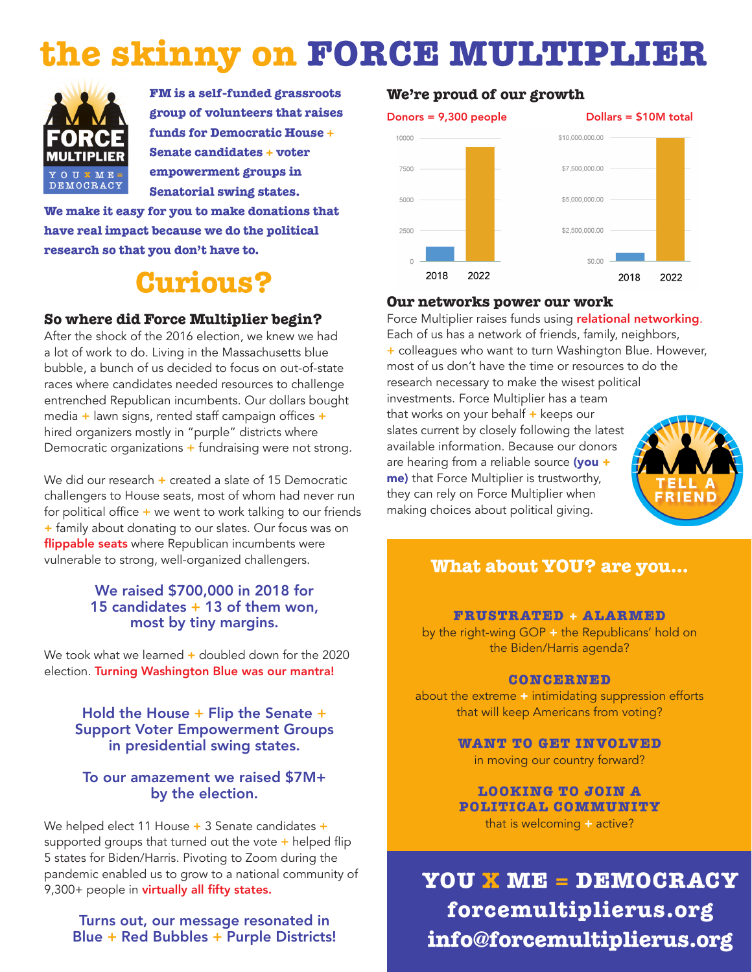# **the skinny on FORCE MULTIPLIER**



**FM is a self-funded grassroots group of volunteers that raises funds for Democratic House + Senate candidates + voter empowerment groups in Senatorial swing states.** 

**We make it easy for you to make donations that have real impact because we do the political research so that you don't have to.**

## **Curious?**

#### **So where did Force Multiplier begin?**

After the shock of the 2016 election, we knew we had a lot of work to do. Living in the Massachusetts blue bubble, a bunch of us decided to focus on out-of-state races where candidates needed resources to challenge entrenched Republican incumbents. Our dollars bought media  $+$  lawn signs, rented staff campaign offices  $+$ hired organizers mostly in "purple" districts where Democratic organizations  $+$  fundraising were not strong.

We did our research  $+$  created a slate of 15 Democratic challengers to House seats, most of whom had never run for political office  $+$  we went to work talking to our friends + family about donating to our slates. Our focus was on flippable seats where Republican incumbents were vulnerable to strong, well-organized challengers.

#### We raised \$700,000 in 2018 for 15 candidates + 13 of them won, most by tiny margins.

We took what we learned  $+$  doubled down for the 2020 election. Turning Washington Blue was our mantra!

#### Hold the House + Flip the Senate + Support Voter Empowerment Groups in presidential swing states.

#### To our amazement we raised \$7M+ by the election.

We helped elect 11 House + 3 Senate candidates + supported groups that turned out the vote  $+$  helped flip 5 states for Biden/Harris. Pivoting to Zoom during the pandemic enabled us to grow to a national community of 9,300+ people in virtually all fifty states.

#### Turns out, our message resonated in Blue + Red Bubbles + Purple Districts!

#### **We're proud of our growth**



#### **Our networks power our work**

Force Multiplier raises funds using relational networking. Each of us has a network of friends, family, neighbors, + colleagues who want to turn Washington Blue. However, most of us don't have the time or resources to do the research necessary to make the wisest political investments. Force Multiplier has a team that works on your behalf  $+$  keeps our slates current by closely following the latest available information. Because our donors are hearing from a reliable source (you + me) that Force Multiplier is trustworthy, they can rely on Force Multiplier when making choices about political giving.



### **What about YOU? are you...**

#### **FRUSTRATED + ALARMED**

by the right-wing GOP + the Republicans' hold on the Biden/Harris agenda?

#### **CONCERNED**

about the extreme + intimidating suppression efforts that will keep Americans from voting?

> **WANT TO GET INVOLVED** in moving our country forward?

> **LOOKING TO JOIN A POLITICAL COMMUNITY** that is welcoming + active?

**YOU X ME = DEMOCRACY forcemultiplierus.org info@forcemultiplierus.org**